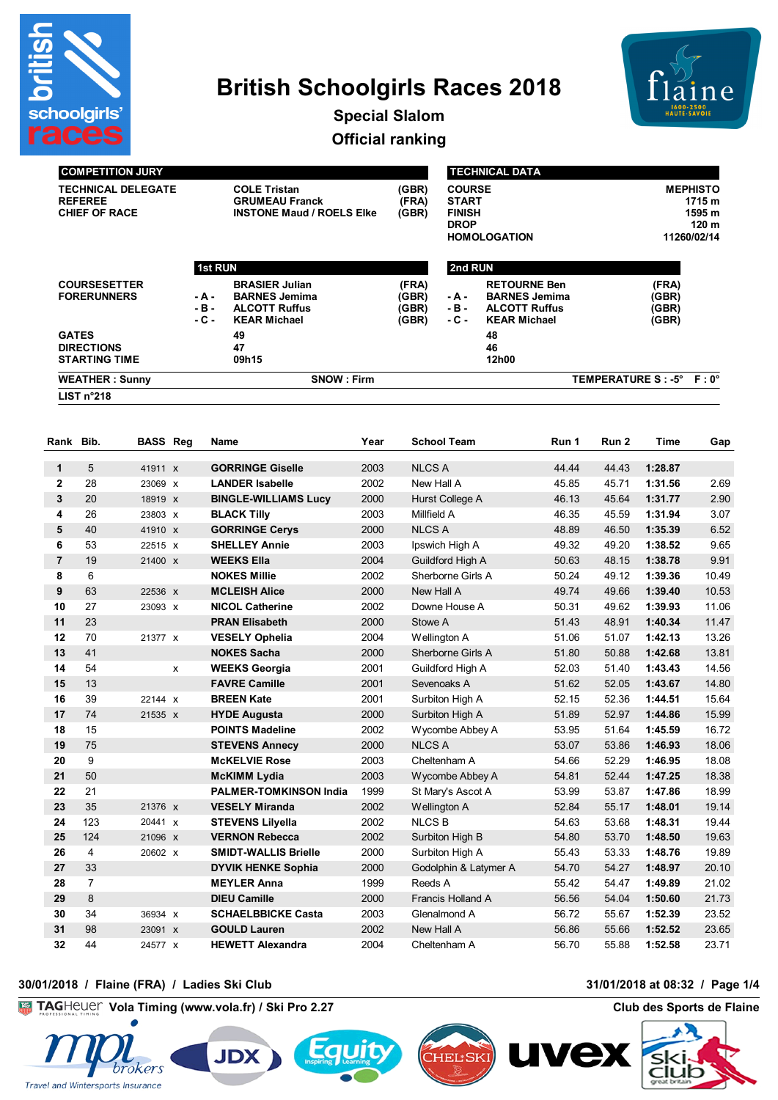

# **British Schoolgirls Races 2018**



**Special Slalom Official ranking**

| <b>COMPETITION JURY</b>                                             |                                                                                                                                                                            |                                                                                  |                                                                                                                                                          |                                                                                                                                                                                                                                                                                                                                                                                                                                                                                                |                                                                                                                                                                   | <b>TECHNICAL DATA</b>   |                                                                                                                                                             |                                                                                                                                                                                                                                                                                                                                                          |                                                                                                                                                                |                                                                                                                                                                                                                                  |
|---------------------------------------------------------------------|----------------------------------------------------------------------------------------------------------------------------------------------------------------------------|----------------------------------------------------------------------------------|----------------------------------------------------------------------------------------------------------------------------------------------------------|------------------------------------------------------------------------------------------------------------------------------------------------------------------------------------------------------------------------------------------------------------------------------------------------------------------------------------------------------------------------------------------------------------------------------------------------------------------------------------------------|-------------------------------------------------------------------------------------------------------------------------------------------------------------------|-------------------------|-------------------------------------------------------------------------------------------------------------------------------------------------------------|----------------------------------------------------------------------------------------------------------------------------------------------------------------------------------------------------------------------------------------------------------------------------------------------------------------------------------------------------------|----------------------------------------------------------------------------------------------------------------------------------------------------------------|----------------------------------------------------------------------------------------------------------------------------------------------------------------------------------------------------------------------------------|
| <b>TECHNICAL DELEGATE</b><br><b>REFEREE</b><br><b>CHIEF OF RACE</b> |                                                                                                                                                                            | <b>COLE Tristan</b><br><b>GRUMEAU Franck</b><br><b>INSTONE Maud / ROELS Elke</b> |                                                                                                                                                          | (GBR)<br>(FRA)<br>(GBR)                                                                                                                                                                                                                                                                                                                                                                                                                                                                        | <b>COURSE</b><br><b>START</b><br><b>FINISH</b><br><b>DROP</b><br><b>HOMOLOGATION</b>                                                                              |                         |                                                                                                                                                             | <b>MEPHISTO</b><br>1715 m<br>1595 m<br>120 m<br>11260/02/14                                                                                                                                                                                                                                                                                              |                                                                                                                                                                |                                                                                                                                                                                                                                  |
|                                                                     |                                                                                                                                                                            |                                                                                  |                                                                                                                                                          |                                                                                                                                                                                                                                                                                                                                                                                                                                                                                                |                                                                                                                                                                   |                         |                                                                                                                                                             |                                                                                                                                                                                                                                                                                                                                                          |                                                                                                                                                                |                                                                                                                                                                                                                                  |
| <b>COURSESETTER</b><br><b>FORERUNNERS</b>                           |                                                                                                                                                                            |                                                                                  | <b>BRASIER Julian</b><br><b>BARNES Jemima</b><br>- A -<br>- B -<br><b>ALCOTT Ruffus</b>                                                                  |                                                                                                                                                                                                                                                                                                                                                                                                                                                                                                | (FRA)<br>(GBR)<br>(GBR)<br>(GBR)                                                                                                                                  | - A -<br>- B -<br>- C - | <b>RETOURNE Ben</b><br><b>BARNES Jemima</b><br><b>ALCOTT Ruffus</b><br><b>KEAR Michael</b>                                                                  |                                                                                                                                                                                                                                                                                                                                                          | (FRA)<br>(GBR)<br>(GBR)<br>(GBR)                                                                                                                               |                                                                                                                                                                                                                                  |
|                                                                     |                                                                                                                                                                            |                                                                                  | 49<br>47<br>09h15                                                                                                                                        |                                                                                                                                                                                                                                                                                                                                                                                                                                                                                                |                                                                                                                                                                   |                         | 48<br>46<br>12h00                                                                                                                                           |                                                                                                                                                                                                                                                                                                                                                          |                                                                                                                                                                |                                                                                                                                                                                                                                  |
|                                                                     |                                                                                                                                                                            |                                                                                  |                                                                                                                                                          |                                                                                                                                                                                                                                                                                                                                                                                                                                                                                                |                                                                                                                                                                   |                         |                                                                                                                                                             |                                                                                                                                                                                                                                                                                                                                                          |                                                                                                                                                                | $F:0^{\circ}$                                                                                                                                                                                                                    |
|                                                                     |                                                                                                                                                                            |                                                                                  |                                                                                                                                                          |                                                                                                                                                                                                                                                                                                                                                                                                                                                                                                |                                                                                                                                                                   |                         |                                                                                                                                                             |                                                                                                                                                                                                                                                                                                                                                          |                                                                                                                                                                |                                                                                                                                                                                                                                  |
|                                                                     |                                                                                                                                                                            |                                                                                  |                                                                                                                                                          |                                                                                                                                                                                                                                                                                                                                                                                                                                                                                                |                                                                                                                                                                   |                         |                                                                                                                                                             |                                                                                                                                                                                                                                                                                                                                                          |                                                                                                                                                                |                                                                                                                                                                                                                                  |
| Bib.                                                                |                                                                                                                                                                            |                                                                                  | Name                                                                                                                                                     | Year                                                                                                                                                                                                                                                                                                                                                                                                                                                                                           |                                                                                                                                                                   |                         | Run 1                                                                                                                                                       | Run 2                                                                                                                                                                                                                                                                                                                                                    | Time                                                                                                                                                           | Gap                                                                                                                                                                                                                              |
|                                                                     |                                                                                                                                                                            |                                                                                  |                                                                                                                                                          |                                                                                                                                                                                                                                                                                                                                                                                                                                                                                                |                                                                                                                                                                   |                         |                                                                                                                                                             |                                                                                                                                                                                                                                                                                                                                                          |                                                                                                                                                                |                                                                                                                                                                                                                                  |
|                                                                     |                                                                                                                                                                            |                                                                                  |                                                                                                                                                          |                                                                                                                                                                                                                                                                                                                                                                                                                                                                                                |                                                                                                                                                                   |                         |                                                                                                                                                             |                                                                                                                                                                                                                                                                                                                                                          |                                                                                                                                                                |                                                                                                                                                                                                                                  |
|                                                                     |                                                                                                                                                                            |                                                                                  |                                                                                                                                                          |                                                                                                                                                                                                                                                                                                                                                                                                                                                                                                |                                                                                                                                                                   |                         |                                                                                                                                                             |                                                                                                                                                                                                                                                                                                                                                          |                                                                                                                                                                | 2.69                                                                                                                                                                                                                             |
|                                                                     |                                                                                                                                                                            |                                                                                  |                                                                                                                                                          |                                                                                                                                                                                                                                                                                                                                                                                                                                                                                                |                                                                                                                                                                   |                         |                                                                                                                                                             |                                                                                                                                                                                                                                                                                                                                                          |                                                                                                                                                                | 2.90                                                                                                                                                                                                                             |
|                                                                     |                                                                                                                                                                            |                                                                                  |                                                                                                                                                          |                                                                                                                                                                                                                                                                                                                                                                                                                                                                                                |                                                                                                                                                                   |                         |                                                                                                                                                             |                                                                                                                                                                                                                                                                                                                                                          |                                                                                                                                                                | 3.07                                                                                                                                                                                                                             |
|                                                                     |                                                                                                                                                                            |                                                                                  |                                                                                                                                                          |                                                                                                                                                                                                                                                                                                                                                                                                                                                                                                |                                                                                                                                                                   |                         |                                                                                                                                                             |                                                                                                                                                                                                                                                                                                                                                          |                                                                                                                                                                | 6.52                                                                                                                                                                                                                             |
|                                                                     |                                                                                                                                                                            |                                                                                  |                                                                                                                                                          |                                                                                                                                                                                                                                                                                                                                                                                                                                                                                                |                                                                                                                                                                   |                         |                                                                                                                                                             |                                                                                                                                                                                                                                                                                                                                                          |                                                                                                                                                                | 9.65                                                                                                                                                                                                                             |
|                                                                     |                                                                                                                                                                            |                                                                                  |                                                                                                                                                          |                                                                                                                                                                                                                                                                                                                                                                                                                                                                                                |                                                                                                                                                                   |                         |                                                                                                                                                             |                                                                                                                                                                                                                                                                                                                                                          |                                                                                                                                                                | 9.91                                                                                                                                                                                                                             |
|                                                                     |                                                                                                                                                                            |                                                                                  |                                                                                                                                                          |                                                                                                                                                                                                                                                                                                                                                                                                                                                                                                |                                                                                                                                                                   |                         |                                                                                                                                                             |                                                                                                                                                                                                                                                                                                                                                          |                                                                                                                                                                | 10.49                                                                                                                                                                                                                            |
|                                                                     |                                                                                                                                                                            |                                                                                  |                                                                                                                                                          |                                                                                                                                                                                                                                                                                                                                                                                                                                                                                                |                                                                                                                                                                   |                         |                                                                                                                                                             |                                                                                                                                                                                                                                                                                                                                                          |                                                                                                                                                                | 10.53                                                                                                                                                                                                                            |
|                                                                     |                                                                                                                                                                            |                                                                                  |                                                                                                                                                          |                                                                                                                                                                                                                                                                                                                                                                                                                                                                                                |                                                                                                                                                                   |                         |                                                                                                                                                             |                                                                                                                                                                                                                                                                                                                                                          |                                                                                                                                                                | 11.06                                                                                                                                                                                                                            |
|                                                                     |                                                                                                                                                                            |                                                                                  |                                                                                                                                                          |                                                                                                                                                                                                                                                                                                                                                                                                                                                                                                |                                                                                                                                                                   |                         |                                                                                                                                                             |                                                                                                                                                                                                                                                                                                                                                          |                                                                                                                                                                | 11.47<br>13.26                                                                                                                                                                                                                   |
|                                                                     |                                                                                                                                                                            |                                                                                  |                                                                                                                                                          |                                                                                                                                                                                                                                                                                                                                                                                                                                                                                                |                                                                                                                                                                   |                         |                                                                                                                                                             |                                                                                                                                                                                                                                                                                                                                                          |                                                                                                                                                                | 13.81                                                                                                                                                                                                                            |
|                                                                     |                                                                                                                                                                            |                                                                                  |                                                                                                                                                          |                                                                                                                                                                                                                                                                                                                                                                                                                                                                                                |                                                                                                                                                                   |                         |                                                                                                                                                             |                                                                                                                                                                                                                                                                                                                                                          |                                                                                                                                                                | 14.56                                                                                                                                                                                                                            |
|                                                                     |                                                                                                                                                                            |                                                                                  |                                                                                                                                                          |                                                                                                                                                                                                                                                                                                                                                                                                                                                                                                |                                                                                                                                                                   |                         |                                                                                                                                                             |                                                                                                                                                                                                                                                                                                                                                          |                                                                                                                                                                | 14.80                                                                                                                                                                                                                            |
|                                                                     |                                                                                                                                                                            |                                                                                  |                                                                                                                                                          |                                                                                                                                                                                                                                                                                                                                                                                                                                                                                                |                                                                                                                                                                   |                         |                                                                                                                                                             |                                                                                                                                                                                                                                                                                                                                                          |                                                                                                                                                                | 15.64                                                                                                                                                                                                                            |
|                                                                     |                                                                                                                                                                            |                                                                                  |                                                                                                                                                          |                                                                                                                                                                                                                                                                                                                                                                                                                                                                                                |                                                                                                                                                                   |                         |                                                                                                                                                             |                                                                                                                                                                                                                                                                                                                                                          |                                                                                                                                                                | 15.99                                                                                                                                                                                                                            |
|                                                                     |                                                                                                                                                                            |                                                                                  |                                                                                                                                                          |                                                                                                                                                                                                                                                                                                                                                                                                                                                                                                |                                                                                                                                                                   |                         |                                                                                                                                                             |                                                                                                                                                                                                                                                                                                                                                          |                                                                                                                                                                | 16.72                                                                                                                                                                                                                            |
|                                                                     |                                                                                                                                                                            |                                                                                  |                                                                                                                                                          |                                                                                                                                                                                                                                                                                                                                                                                                                                                                                                |                                                                                                                                                                   |                         |                                                                                                                                                             |                                                                                                                                                                                                                                                                                                                                                          |                                                                                                                                                                |                                                                                                                                                                                                                                  |
| 75                                                                  |                                                                                                                                                                            |                                                                                  | <b>STEVENS Annecy</b>                                                                                                                                    | 2000                                                                                                                                                                                                                                                                                                                                                                                                                                                                                           | <b>NLCS A</b>                                                                                                                                                     |                         | 53.07                                                                                                                                                       | 53.86                                                                                                                                                                                                                                                                                                                                                    | 1:46.93                                                                                                                                                        | 18.06                                                                                                                                                                                                                            |
|                                                                     | <b>GATES</b><br><b>DIRECTIONS</b><br>LIST $n^{\circ}218$<br>Rank<br>5<br>28<br>20<br>26<br>40<br>53<br>19<br>6<br>63<br>27<br>23<br>70<br>41<br>54<br>13<br>39<br>74<br>15 | <b>STARTING TIME</b><br><b>WEATHER: Sunny</b>                                    | <b>BASS Reg</b><br>41911 X<br>23069 X<br>18919 x<br>23803 X<br>41910 X<br>22515 X<br>21400 X<br>22536 X<br>23093 x<br>21377 X<br>X<br>22144 X<br>21535 X | 1st RUN<br>- C -<br><b>KEAR Michael</b><br><b>GORRINGE Giselle</b><br><b>LANDER Isabelle</b><br><b>BINGLE-WILLIAMS Lucy</b><br><b>BLACK Tilly</b><br><b>GORRINGE Cerys</b><br><b>SHELLEY Annie</b><br><b>WEEKS Ella</b><br><b>NOKES Millie</b><br><b>MCLEISH Alice</b><br><b>NICOL Catherine</b><br><b>PRAN Elisabeth</b><br><b>VESELY Ophelia</b><br><b>NOKES Sacha</b><br><b>WEEKS Georgia</b><br><b>FAVRE Camille</b><br><b>BREEN Kate</b><br><b>HYDE Augusta</b><br><b>POINTS Madeline</b> | <b>SNOW: Firm</b><br>2003<br>2002<br>2000<br>2003<br>2000<br>2003<br>2004<br>2002<br>2000<br>2002<br>2000<br>2004<br>2000<br>2001<br>2001<br>2001<br>2000<br>2002 |                         | <b>School Team</b><br><b>NLCS A</b><br>New Hall A<br>Millfield A<br><b>NLCS A</b><br>Ipswich High A<br>New Hall A<br>Stowe A<br>Wellington A<br>Sevenoaks A | 2nd RUN<br>44.44<br>45.85<br>Hurst College A<br>46.13<br>46.35<br>48.89<br>49.32<br>50.63<br>Guildford High A<br>Sherborne Girls A<br>50.24<br>49.74<br>Downe House A<br>50.31<br>51.43<br>51.06<br>51.80<br>Sherborne Girls A<br>52.03<br>Guildford High A<br>51.62<br>52.15<br>Surbiton High A<br>51.89<br>Surbiton High A<br>53.95<br>Wycombe Abbey A | 44.43<br>45.71<br>45.64<br>45.59<br>46.50<br>49.20<br>48.15<br>49.12<br>49.66<br>49.62<br>48.91<br>51.07<br>50.88<br>51.40<br>52.05<br>52.36<br>52.97<br>51.64 | <b>TEMPERATURE S : -5°</b><br>1:28.87<br>1:31.56<br>1:31.77<br>1:31.94<br>1:35.39<br>1:38.52<br>1:38.78<br>1:39.36<br>1:39.40<br>1:39.93<br>1:40.34<br>1:42.13<br>1:42.68<br>1:43.43<br>1:43.67<br>1:44.51<br>1:44.86<br>1:45.59 |

 4 20602 x **SMIDT-WALLIS Brielle** 2000 Surbiton High A 55.43 53.33 **1:48.76** 19.89 33 **DYVIK HENKE Sophia** 2000 Godolphin & Latymer A 54.70 54.27 **1:48.97** 20.10 7 **MEYLER Anna** 1999 Reeds A 55.42 54.47 **1:49.89** 21.02 8 **DIEU Camille** 2000 Francis Holland A 56.56 54.04 **1:50.60** 21.73 34 36934 x **SCHAELBBICKE Casta** 2003 Glenalmond A 56.72 55.67 **1:52.39** 23.52 98 23091 x **GOULD Lauren** 2002 New Hall A 56.86 55.66 **1:52.52** 23.65 44 24577 x **HEWETT Alexandra** 2004 Cheltenham A 56.70 55.88 **1:52.58** 23.71

 50 **McKIMM Lydia** 2003 Wycombe Abbey A 54.81 52.44 **1:47.25** 18.38 21 **PALMER-TOMKINSON India** 1999 St Mary's Ascot A 53.99 53.87 **1:47.86** 18.99 35 21376 x **VESELY Miranda** 2002 Wellington A 52.84 55.17 **1:48.01** 19.14 123 20441 x **STEVENS Lilyella** 2002 NLCS B 54.63 53.68 **1:48.31** 19.44 124 21096 x **VERNON Rebecca** 2002 Surbiton High B 54.80 53.70 **1:48.50** 19.63

#### **30/01/2018 / Flaine (FRA) / Ladies Ski Club 31/01/2018 at 08:32 / Page 1/4**

**TAGHeuer KG Vola Timing (www.vola.fr) / Ski Pro 2.27 Club des Sports de Flaine**





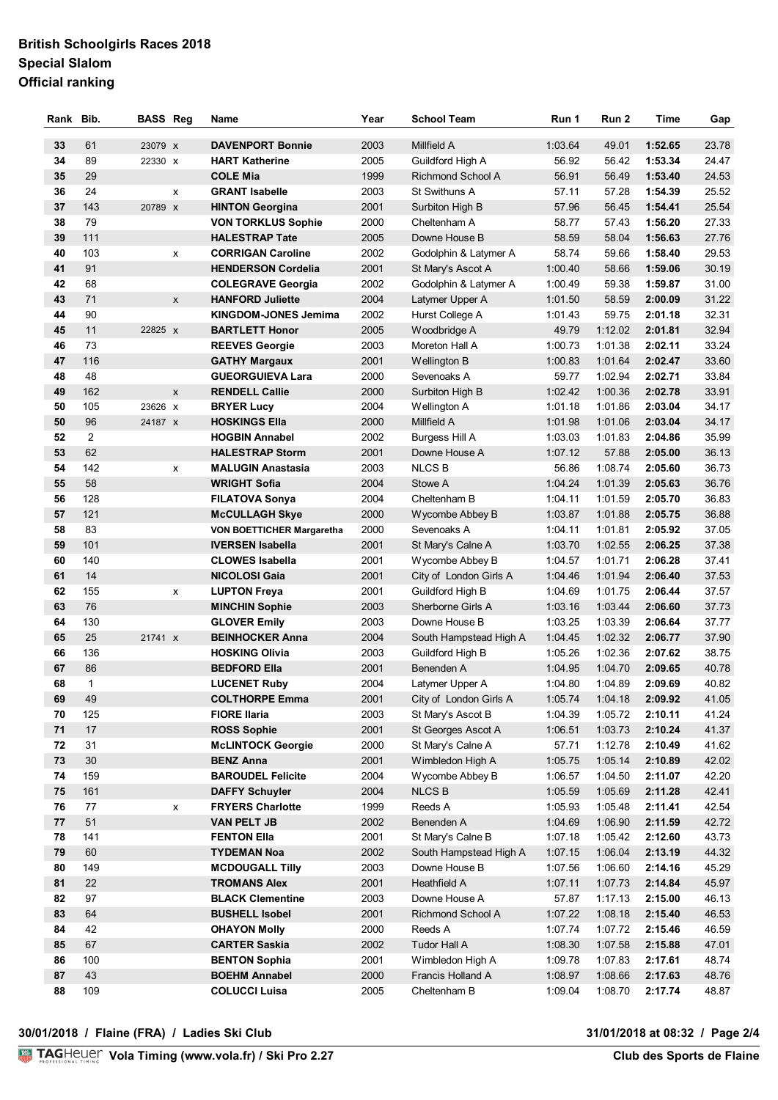# **British Schoolgirls Races 2018 Special Slalom Official ranking**

| Rank     | Bib.           | <b>BASS Reg</b> |   | Name                                              | Year         | <b>School Team</b>                         | Run 1              | Run 2              | <b>Time</b>        | Gap            |
|----------|----------------|-----------------|---|---------------------------------------------------|--------------|--------------------------------------------|--------------------|--------------------|--------------------|----------------|
|          |                |                 |   |                                                   |              |                                            |                    |                    |                    |                |
| 33<br>34 | 61<br>89       | 23079 x         |   | <b>DAVENPORT Bonnie</b>                           | 2003<br>2005 | Millfield A                                | 1:03.64            | 49.01<br>56.42     | 1:52.65<br>1:53.34 | 23.78<br>24.47 |
|          |                | 22330 X         |   | <b>HART Katherine</b>                             |              | Guildford High A                           | 56.92              |                    |                    |                |
| 35       | 29             |                 |   | <b>COLE Mia</b>                                   | 1999         | <b>Richmond School A</b>                   | 56.91              | 56.49              | 1:53.40            | 24.53          |
| 36       | 24             |                 | x | <b>GRANT Isabelle</b>                             | 2003         | St Swithuns A                              | 57.11              | 57.28              | 1:54.39            | 25.52          |
| 37       | 143            | 20789 X         |   | <b>HINTON Georgina</b>                            | 2001         | Surbiton High B                            | 57.96              | 56.45              | 1:54.41            | 25.54          |
| 38       | 79             |                 |   | <b>VON TORKLUS Sophie</b>                         | 2000         | Cheltenham A                               | 58.77              | 57.43              | 1:56.20            | 27.33          |
| 39       | 111            |                 |   | <b>HALESTRAP Tate</b>                             | 2005         | Downe House B                              | 58.59              | 58.04              | 1:56.63            | 27.76          |
| 40       | 103            |                 | x | <b>CORRIGAN Caroline</b>                          | 2002         | Godolphin & Latymer A                      | 58.74              | 59.66              | 1:58.40            | 29.53          |
| 41       | 91             |                 |   | <b>HENDERSON Cordelia</b>                         | 2001         | St Mary's Ascot A                          | 1:00.40            | 58.66              | 1:59.06            | 30.19          |
| 42       | 68             |                 |   | <b>COLEGRAVE Georgia</b>                          | 2002         | Godolphin & Latymer A                      | 1:00.49            | 59.38              | 1:59.87            | 31.00          |
| 43       | 71             |                 | X | <b>HANFORD Juliette</b>                           | 2004         | Latymer Upper A                            | 1:01.50            | 58.59              | 2:00.09            | 31.22          |
| 44       | 90             |                 |   | <b>KINGDOM-JONES Jemima</b>                       | 2002         | Hurst College A                            | 1:01.43            | 59.75              | 2:01.18            | 32.31          |
| 45       | 11             | 22825 X         |   | <b>BARTLETT Honor</b>                             | 2005         | Woodbridge A                               | 49.79              | 1:12.02            | 2:01.81            | 32.94          |
| 46       | 73             |                 |   | <b>REEVES Georgie</b>                             | 2003         | Moreton Hall A                             | 1:00.73            | 1:01.38            | 2:02.11            | 33.24          |
| 47       | 116            |                 |   | <b>GATHY Margaux</b>                              | 2001         | Wellington B                               | 1:00.83            | 1:01.64            | 2:02.47            | 33.60          |
| 48       | 48             |                 |   | <b>GUEORGUIEVA Lara</b>                           | 2000         | Sevenoaks A                                | 59.77              | 1:02.94            | 2:02.71            | 33.84          |
| 49       | 162            |                 | X | <b>RENDELL Callie</b>                             | 2000         | Surbiton High B                            | 1:02.42            | 1:00.36            | 2:02.78            | 33.91          |
| 50       | 105            | 23626 X         |   | <b>BRYER Lucy</b>                                 | 2004         | Wellington A                               | 1:01.18            | 1:01.86            | 2:03.04            | 34.17          |
| 50       | 96             | 24187 x         |   | <b>HOSKINGS EIIa</b>                              | 2000         | Millfield A                                | 1:01.98            | 1:01.06            | 2:03.04            | 34.17          |
| 52       | $\overline{2}$ |                 |   | <b>HOGBIN Annabel</b>                             | 2002         | Burgess Hill A                             | 1:03.03            | 1:01.83            | 2:04.86            | 35.99          |
| 53       | 62             |                 |   | <b>HALESTRAP Storm</b>                            | 2001         | Downe House A                              | 1:07.12            | 57.88              | 2:05.00            | 36.13          |
| 54<br>55 | 142<br>58      |                 | X | <b>MALUGIN Anastasia</b>                          | 2003<br>2004 | <b>NLCSB</b>                               | 56.86              | 1:08.74            | 2:05.60            | 36.73          |
|          |                |                 |   | <b>WRIGHT Sofia</b>                               |              | Stowe A                                    | 1:04.24            | 1:01.39            | 2:05.63            | 36.76          |
| 56       | 128<br>121     |                 |   | <b>FILATOVA Sonya</b>                             | 2004         | Cheltenham B                               | 1:04.11            | 1:01.59            | 2:05.70            | 36.83          |
| 57       |                |                 |   | <b>McCULLAGH Skye</b>                             | 2000         | Wycombe Abbey B                            | 1:03.87            | 1:01.88            | 2:05.75            | 36.88          |
| 58<br>59 | 83<br>101      |                 |   | VON BOETTICHER Margaretha                         | 2000         | Sevenoaks A                                | 1:04.11            | 1:01.81            | 2:05.92            | 37.05          |
| 60       | 140            |                 |   | <b>IVERSEN Isabella</b><br><b>CLOWES Isabella</b> | 2001<br>2001 | St Mary's Calne A                          | 1:03.70            | 1:02.55            | 2:06.25<br>2:06.28 | 37.38<br>37.41 |
| 61       | 14             |                 |   |                                                   |              | Wycombe Abbey B                            | 1:04.57            | 1:01.71            |                    |                |
| 62       | 155            |                 |   | <b>NICOLOSI Gaia</b>                              | 2001<br>2001 | City of London Girls A<br>Guildford High B | 1:04.46<br>1:04.69 | 1:01.94<br>1:01.75 | 2:06.40<br>2:06.44 | 37.53<br>37.57 |
| 63       | 76             |                 | X | <b>LUPTON Freya</b><br><b>MINCHIN Sophie</b>      | 2003         | Sherborne Girls A                          | 1:03.16            | 1:03.44            | 2:06.60            | 37.73          |
| 64       | 130            |                 |   | <b>GLOVER Emily</b>                               | 2003         | Downe House B                              | 1:03.25            | 1:03.39            | 2:06.64            | 37.77          |
| 65       | 25             | 21741 X         |   | <b>BEINHOCKER Anna</b>                            | 2004         | South Hampstead High A                     | 1:04.45            | 1:02.32            | 2:06.77            | 37.90          |
| 66       | 136            |                 |   | <b>HOSKING Olivia</b>                             | 2003         | Guildford High B                           | 1:05.26            | 1:02.36            | 2:07.62            | 38.75          |
| 67       | 86             |                 |   | <b>BEDFORD Ella</b>                               | 2001         | Benenden A                                 | 1:04.95            | 1:04.70            | 2:09.65            | 40.78          |
| 68       | $\mathbf{1}$   |                 |   | <b>LUCENET Ruby</b>                               | 2004         | Latymer Upper A                            | 1:04.80            | 1:04.89            | 2:09.69            | 40.82          |
| 69       | 49             |                 |   | <b>COLTHORPE Emma</b>                             | 2001         | City of London Girls A                     | 1:05.74            | 1:04.18            | 2:09.92            | 41.05          |
| 70       | 125            |                 |   | <b>FIORE Ilaria</b>                               | 2003         | St Mary's Ascot B                          | 1:04.39            | 1:05.72            | 2:10.11            | 41.24          |
| 71       | 17             |                 |   | <b>ROSS Sophie</b>                                | 2001         | St Georges Ascot A                         | 1:06.51            | 1:03.73            | 2:10.24            | 41.37          |
| 72       | 31             |                 |   | <b>McLINTOCK Georgie</b>                          | 2000         | St Mary's Calne A                          | 57.71              | 1:12.78            | 2:10.49            | 41.62          |
| 73       | 30             |                 |   | <b>BENZ Anna</b>                                  | 2001         | Wimbledon High A                           | 1:05.75            | 1:05.14            | 2:10.89            | 42.02          |
| 74       | 159            |                 |   | <b>BAROUDEL Felicite</b>                          | 2004         | Wycombe Abbey B                            | 1:06.57            | 1:04.50            | 2:11.07            | 42.20          |
| 75       | 161            |                 |   | <b>DAFFY Schuyler</b>                             | 2004         | <b>NLCSB</b>                               | 1:05.59            | 1:05.69            | 2:11.28            | 42.41          |
| 76       | 77             |                 | X | <b>FRYERS Charlotte</b>                           | 1999         | Reeds A                                    | 1:05.93            | 1:05.48            | 2:11.41            | 42.54          |
| 77       | 51             |                 |   | <b>VAN PELT JB</b>                                | 2002         | Benenden A                                 | 1:04.69            | 1:06.90            | 2:11.59            | 42.72          |
| 78       | 141            |                 |   | <b>FENTON Ella</b>                                | 2001         | St Mary's Calne B                          | 1:07.18            | 1:05.42            | 2:12.60            | 43.73          |
| 79       | 60             |                 |   | <b>TYDEMAN Noa</b>                                | 2002         | South Hampstead High A                     | 1:07.15            | 1:06.04            | 2:13.19            | 44.32          |
| 80       | 149            |                 |   | <b>MCDOUGALL Tilly</b>                            | 2003         | Downe House B                              | 1:07.56            | 1:06.60            | 2:14.16            | 45.29          |
| 81       | 22             |                 |   | <b>TROMANS Alex</b>                               | 2001         | Heathfield A                               | 1:07.11            | 1:07.73            | 2:14.84            | 45.97          |
| 82       | 97             |                 |   | <b>BLACK Clementine</b>                           | 2003         | Downe House A                              | 57.87              | 1:17.13            | 2:15.00            | 46.13          |
| 83       | 64             |                 |   | <b>BUSHELL Isobel</b>                             | 2001         | Richmond School A                          | 1:07.22            | 1:08.18            | 2:15.40            | 46.53          |
| 84       | 42             |                 |   | <b>OHAYON Molly</b>                               | 2000         | Reeds A                                    | 1:07.74            | 1:07.72            | 2:15.46            | 46.59          |
| 85       | 67             |                 |   | <b>CARTER Saskia</b>                              | 2002         | <b>Tudor Hall A</b>                        | 1:08.30            | 1:07.58            | 2:15.88            | 47.01          |
| 86       | 100            |                 |   | <b>BENTON Sophia</b>                              | 2001         | Wimbledon High A                           | 1:09.78            | 1:07.83            | 2:17.61            | 48.74          |
| 87       | 43             |                 |   | <b>BOEHM Annabel</b>                              | 2000         | Francis Holland A                          | 1:08.97            | 1:08.66            | 2:17.63            | 48.76          |
| 88       | 109            |                 |   | <b>COLUCCI Luisa</b>                              | 2005         | Cheltenham B                               | 1:09.04            | 1:08.70            | 2:17.74            | 48.87          |
|          |                |                 |   |                                                   |              |                                            |                    |                    |                    |                |

#### **30/01/2018 / Flaine (FRA) / Ladies Ski Club 31/01/2018 at 08:32 / Page 2/4**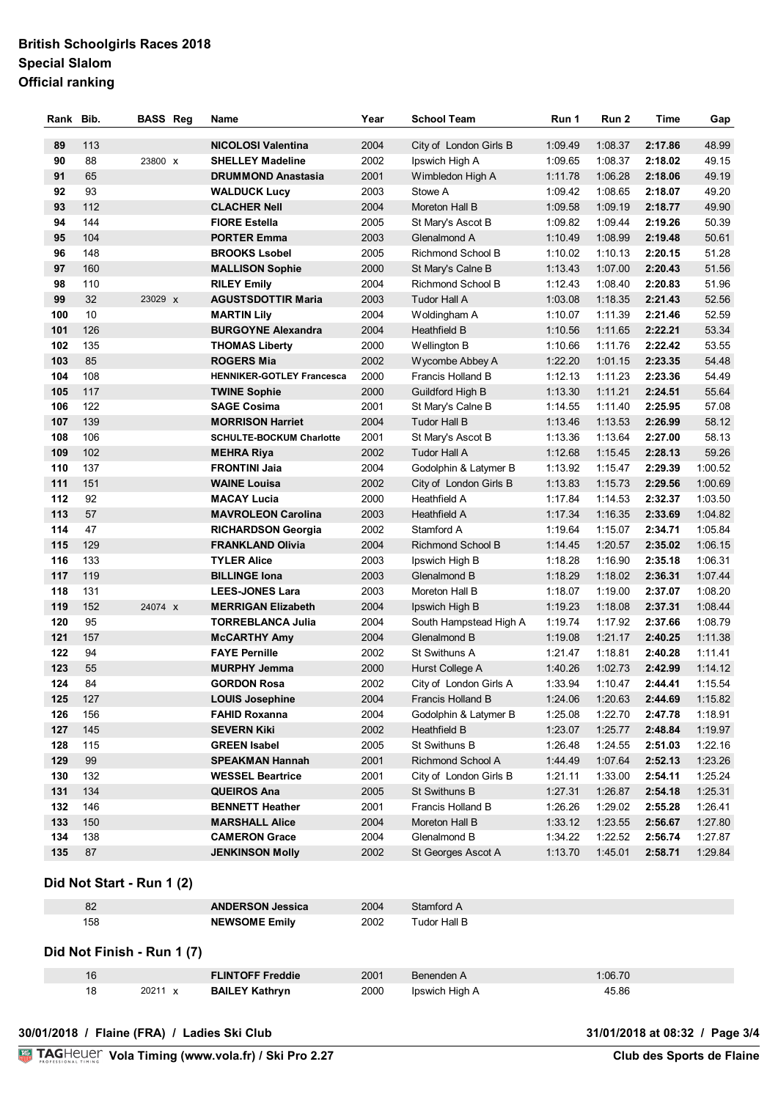# **British Schoolgirls Races 2018 Special Slalom Official ranking**

| Rank       | Bib.     | <b>BASS Reg</b> | Name                                        | Year         | <b>School Team</b>                        | Run 1              | Run <sub>2</sub>   | Time               | Gap                |
|------------|----------|-----------------|---------------------------------------------|--------------|-------------------------------------------|--------------------|--------------------|--------------------|--------------------|
| 89         | 113      |                 | <b>NICOLOSI Valentina</b>                   | 2004         | City of London Girls B                    | 1:09.49            | 1:08.37            | 2:17.86            | 48.99              |
| 90         | 88       | 23800 X         | <b>SHELLEY Madeline</b>                     | 2002         | Ipswich High A                            | 1:09.65            | 1:08.37            | 2:18.02            | 49.15              |
| 91         | 65       |                 | <b>DRUMMOND Anastasia</b>                   | 2001         | Wimbledon High A                          | 1:11.78            | 1:06.28            | 2:18.06            | 49.19              |
| 92         | 93       |                 | <b>WALDUCK Lucy</b>                         | 2003         | Stowe A                                   | 1:09.42            | 1:08.65            | 2:18.07            | 49.20              |
| 93         | 112      |                 | <b>CLACHER Nell</b>                         | 2004         | Moreton Hall B                            | 1:09.58            | 1:09.19            | 2:18.77            | 49.90              |
| 94         | 144      |                 | <b>FIORE Estella</b>                        | 2005         | St Mary's Ascot B                         | 1:09.82            | 1:09.44            | 2:19.26            | 50.39              |
| 95         | 104      |                 | <b>PORTER Emma</b>                          | 2003         | Glenalmond A                              | 1:10.49            | 1:08.99            | 2:19.48            | 50.61              |
| 96         | 148      |                 | <b>BROOKS Lsobel</b>                        | 2005         | Richmond School B                         | 1:10.02            | 1:10.13            | 2:20.15            | 51.28              |
| 97         | 160      |                 | <b>MALLISON Sophie</b>                      | 2000         | St Mary's Calne B                         | 1:13.43            | 1:07.00            | 2:20.43            | 51.56              |
| 98         | 110      |                 | <b>RILEY Emily</b>                          | 2004         | Richmond School B                         | 1:12.43            | 1:08.40            | 2:20.83            | 51.96              |
| 99         | 32       | 23029 X         | <b>AGUSTSDOTTIR Maria</b>                   | 2003         | Tudor Hall A                              | 1:03.08            | 1:18.35            | 2:21.43            | 52.56              |
| 100        | 10       |                 | <b>MARTIN Lily</b>                          | 2004         | Woldingham A                              | 1:10.07            | 1:11.39            | 2:21.46            | 52.59              |
| 101        | 126      |                 | <b>BURGOYNE Alexandra</b>                   | 2004         | <b>Heathfield B</b>                       | 1:10.56            | 1:11.65            | 2:22.21            | 53.34              |
| 102        | 135      |                 | <b>THOMAS Liberty</b>                       | 2000         | Wellington B                              | 1:10.66            | 1:11.76            | 2:22.42            | 53.55              |
| 103        | 85       |                 | <b>ROGERS Mia</b>                           | 2002         | Wycombe Abbey A                           | 1:22.20            | 1:01.15            | 2:23.35            | 54.48              |
| 104        | 108      |                 | <b>HENNIKER-GOTLEY Francesca</b>            | 2000         | Francis Holland B                         | 1:12.13            | 1:11.23            | 2:23.36            | 54.49              |
| 105        | 117      |                 | <b>TWINE Sophie</b>                         | 2000         | Guildford High B                          | 1:13.30            | 1:11.21            | 2:24.51            | 55.64              |
| 106        | 122      |                 | <b>SAGE Cosima</b>                          | 2001         | St Mary's Calne B                         | 1:14.55            | 1:11.40            | 2:25.95            | 57.08              |
| 107        | 139      |                 | <b>MORRISON Harriet</b>                     | 2004         | <b>Tudor Hall B</b>                       | 1:13.46            | 1:13.53            | 2:26.99            | 58.12              |
| 108        | 106      |                 | <b>SCHULTE-BOCKUM Charlotte</b>             | 2001         | St Mary's Ascot B                         | 1:13.36            | 1:13.64            | 2:27.00            | 58.13              |
| 109        | 102      |                 | <b>MEHRA Riya</b>                           | 2002         | <b>Tudor Hall A</b>                       | 1:12.68            | 1:15.45            | 2:28.13            | 59.26              |
| 110        | 137      |                 | <b>FRONTINI Jaia</b>                        | 2004         | Godolphin & Latymer B                     | 1:13.92            | 1:15.47            | 2:29.39            | 1:00.52            |
| 111        | 151      |                 | <b>WAINE Louisa</b>                         | 2002         | City of London Girls B                    | 1:13.83            | 1:15.73            | 2:29.56            | 1:00.69            |
| 112        | 92       |                 | <b>MACAY Lucia</b>                          | 2000         | Heathfield A                              | 1:17.84            | 1:14.53            | 2:32.37            | 1:03.50            |
| 113        | 57       |                 | <b>MAVROLEON Carolina</b>                   | 2003         | Heathfield A                              | 1:17.34            | 1:16.35            | 2:33.69            | 1:04.82            |
| 114        | 47       |                 | <b>RICHARDSON Georgia</b>                   | 2002         | Stamford A                                | 1:19.64            | 1:15.07            | 2:34.71            | 1:05.84            |
| 115        | 129      |                 | <b>FRANKLAND Olivia</b>                     | 2004         | Richmond School B                         | 1:14.45            | 1:20.57            | 2:35.02            | 1:06.15            |
| 116        | 133      |                 | <b>TYLER Alice</b>                          | 2003         | Ipswich High B                            | 1:18.28            | 1:16.90            | 2:35.18            | 1:06.31            |
| 117        | 119      |                 | <b>BILLINGE Iona</b>                        | 2003         | Glenalmond B                              | 1:18.29            | 1:18.02            | 2:36.31            | 1:07.44            |
| 118        | 131      |                 | <b>LEES-JONES Lara</b>                      | 2003         | Moreton Hall B                            | 1:18.07            | 1:19.00            | 2:37.07            | 1:08.20            |
| 119        | 152      | 24074 x         | <b>MERRIGAN Elizabeth</b>                   | 2004         | Ipswich High B                            | 1:19.23            | 1:18.08            | 2:37.31            | 1:08.44            |
| 120        | 95       |                 | <b>TORREBLANCA Julia</b>                    | 2004         | South Hampstead High A                    | 1:19.74            | 1:17.92            | 2:37.66            | 1:08.79            |
| 121        | 157      |                 | <b>McCARTHY Amy</b>                         | 2004         | Glenalmond B                              | 1:19.08            | 1:21.17            | 2:40.25            | 1:11.38            |
| 122<br>123 | 94       |                 | <b>FAYE Pernille</b><br><b>MURPHY Jemma</b> | 2002         | St Swithuns A                             | 1:21.47            | 1:18.81            | 2:40.28            | 1:11.41            |
| 124        | 55<br>84 |                 | <b>GORDON Rosa</b>                          | 2000<br>2002 | Hurst College A<br>City of London Girls A | 1:40.26<br>1:33.94 | 1:02.73<br>1:10.47 | 2:42.99<br>2:44.41 | 1:14.12<br>1:15.54 |
| 125        | 127      |                 | <b>LOUIS Josephine</b>                      | 2004         | Francis Holland B                         | 1:24.06            | 1:20.63            | 2:44.69            | 1:15.82            |
| 126        | 156      |                 | <b>FAHID Roxanna</b>                        | 2004         | Godolphin & Latymer B                     | 1:25.08            | 1:22.70            | 2:47.78            | 1:18.91            |
| 127        | 145      |                 | <b>SEVERN Kiki</b>                          | 2002         | Heathfield B                              | 1:23.07            | 1:25.77            | 2:48.84            | 1:19.97            |
| 128        | 115      |                 | <b>GREEN Isabel</b>                         | 2005         | St Swithuns B                             | 1:26.48            | 1:24.55            | 2:51.03            | 1:22.16            |
| 129        | 99       |                 | <b>SPEAKMAN Hannah</b>                      | 2001         | Richmond School A                         | 1:44.49            | 1:07.64            | 2:52.13            | 1:23.26            |
| 130        | 132      |                 | <b>WESSEL Beartrice</b>                     | 2001         | City of London Girls B                    | 1:21.11            | 1:33.00            | 2:54.11            | 1:25.24            |
| 131        | 134      |                 | <b>QUEIROS Ana</b>                          | 2005         | St Swithuns B                             | 1:27.31            | 1:26.87            | 2:54.18            | 1:25.31            |
| 132        | 146      |                 | <b>BENNETT Heather</b>                      | 2001         | Francis Holland B                         | 1:26.26            | 1:29.02            | 2:55.28            | 1:26.41            |
| 133        | 150      |                 | <b>MARSHALL Alice</b>                       | 2004         | Moreton Hall B                            | 1:33.12            | 1:23.55            | 2:56.67            | 1:27.80            |
| 134        | 138      |                 | <b>CAMERON Grace</b>                        | 2004         | Glenalmond B                              | 1:34.22            | 1:22.52            | 2:56.74            | 1:27.87            |
| 135        | 87       |                 | <b>JENKINSON Molly</b>                      | 2002         | St Georges Ascot A                        | 1:13.70            | 1:45.01            | 2:58.71            | 1:29.84            |
|            |          |                 |                                             |              |                                           |                    |                    |                    |                    |

# **Did Not Start - Run 1 (2)**

| 82  | <b>ANDERSON Jessica</b> | 2004 | Stamford A   |
|-----|-------------------------|------|--------------|
| 158 | <b>NEWSOME Emily</b>    | 2002 | Tudor Hall B |

# **Did Not Finish - Run 1 (7)**

| 1 Q |       | <b>FLINTOFF Freddie</b> | 2001 | Benenden A     | 1:06.70    |
|-----|-------|-------------------------|------|----------------|------------|
|     | 20211 | <b>BAILEY Kathryn</b>   | 2000 | Ipswich High A | 45.86<br>. |

#### **30/01/2018 / Flaine (FRA) / Ladies Ski Club 31/01/2018 at 08:32 / Page 3/4**